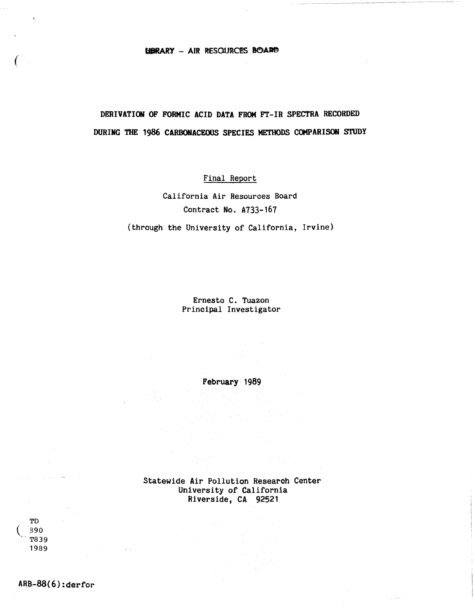### **LIBRARY - AIR RESOURCES BOARD**

# **DERIVATION OF FORMIC ACID DATA FROM FT-IR SPECTRA RECORDED DURING THE 1986 CARBOHACEOUS SPECIES METHODS COMPARISON STUDY**

## Final Report

California Air Resources Board Contract No. A733-167

(through the University of California, Irvine)

Ernesto C. Tuazon Principal Investigator

February 1989

Statewide Air Pollution Research Center University of California Riverside, CA 92521

TD  $|890|$ T839 1989

*(* 

 $\hat{\mathbf{A}}$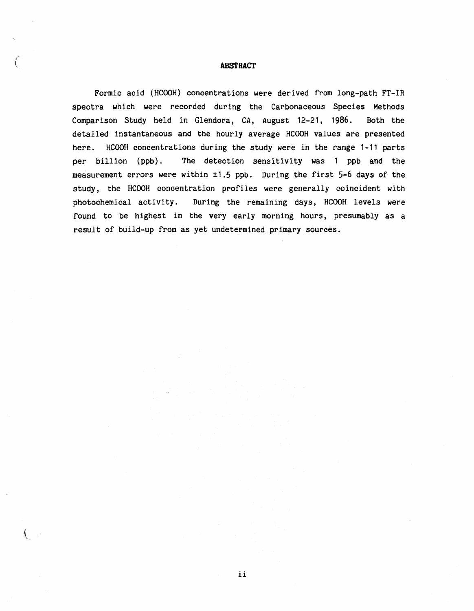### **ABSTRACT**

Formic acid (HCOOH) concentrations were derived from long-path FT-IR spectra which were recorded during the Carbonaceous Species Methods Comparison Study held in Glendora, CA, August 12-21, 1986. Both the detailed instantaneous and the hourly average HCOOH values are presented here. HCOOH concentrations during the study were in the range 1-11 parts per billion (ppb). The detection sensitivity was 1 ppb and the measurement errors were within ±1.5 ppb. During the first 5-6 days of the study, the HCOOH concentration profiles were generally coincident with photochemical activity. During the remaining days, HCOOH levels were found to be highest in the very early morning hours, presumably as a result of build-up from as yet undetermined primary sources.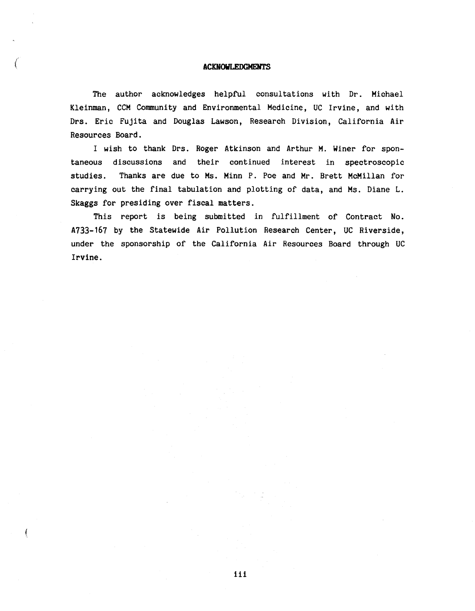### ( **ACDIOWLEDGMENTS**

The author acknowledges helpful consultations with Dr. Michael Kleinman, CCM Community and Environmental Medicine, UC Irvine, and with Drs. Eric Fujita and Douglas Lawson, Research Division, California Air Resources Board.

I wish to thank Ors. Roger Atkinson and Arthur M. Winer for spontaneous discussions and their continued interest in spectroscopic studies. Thanks are due to Ms. Minn P. Poe and Mr. Brett McMillan for carrying out the final tabulation and plotting of data, and Ms. Diane L. Skaggs for presiding over fiscal matters.

This report is being submitted in fulfillment of Contract No. A733-167 by the Statewide Air Pollution Research Center, UC Riverside, under the sponsorship of the California Air Resources Board through UC Irvine.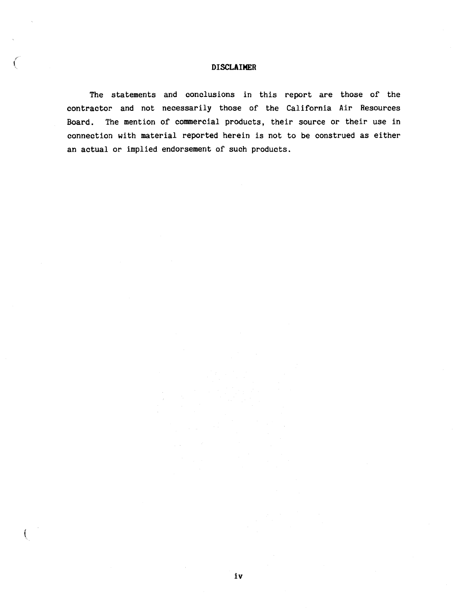### **DISCLAIMER**

The statements and conclusions in this report are those of the contractor and not necessarily those of the California Air Resources Board. The mention of commercial products, their source or their use in connection with material reported herein is not to be construed as either an actual or implied endorsement of such products.

 $\left($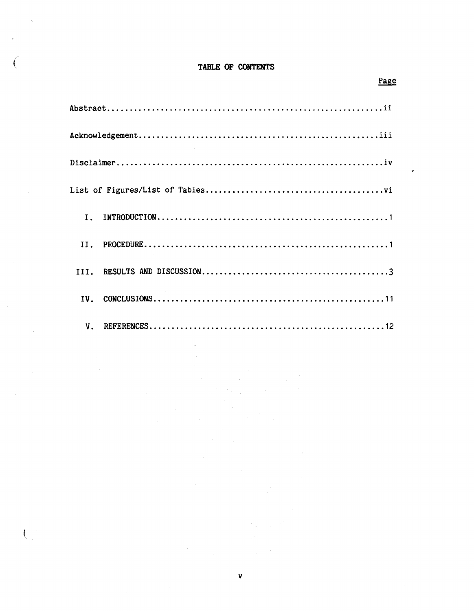## TABLE OF CONTENTS

Page

 $\ddot{\circ}$ 

 $\left($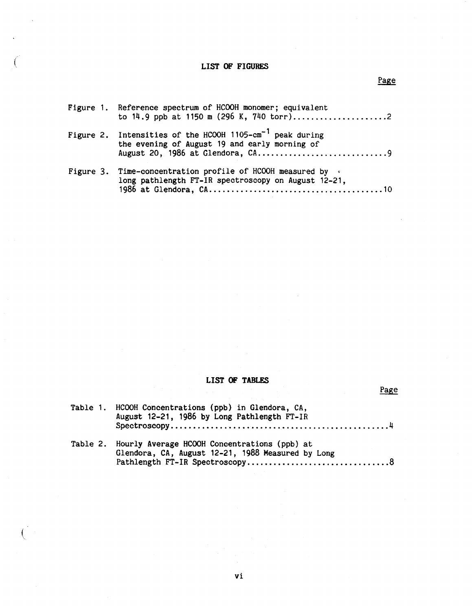### **LIST OF FIGURES**

# Figure 1. Reference spectrum of HCOOH monomer; equivalent Figure 2. Intensities of the HCOOH 1105-cm<sup>-1</sup> peak during Figure 3. Time-concentration profile of HCOOH measured by  $\cdot$ to 14.9 ppb at 1150 m (296 K, 740 torr) ..........•••.•......2 the evening of August 19 and early morning of August 20, 1986 at Glendora, CA .••....•••.........•...•.•... <sup>9</sup> long pathlength FT-IR spectroscopy on August 12-21, 1986 at Glendora, CA •.•.•......••.•.......•....•..•........ 10

### **LIST OF TABLF.S**

| Table 1. HCOOH Concentrations (ppb) in Glendora, CA,<br>August 12-21, 1986 by Long Pathlength FT-IR        |
|------------------------------------------------------------------------------------------------------------|
| Table 2. Hourly Average HCOOH Concentrations (ppb) at<br>Glendora, CA, August 12-21, 1988 Measured by Long |

Page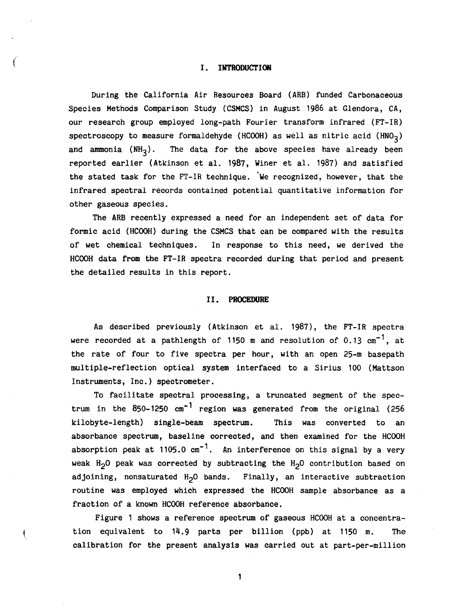### *(* I. **INTRODUCTION**

During the California Air Resources Board (ARB) funded Carbonaceous Species Methods Comparison Study (CSMCS) in August 1986 at Glendora, CA, our research group employed long-path Fourier transform infrared (FT-IR) spectroscopy to measure formaldehyde (HCOOH) as well as nitric acid (HNO<sub>3</sub>) and ammonia  $(NH_2)$ . The data for the above species have already been reported earlier (Atkinson et al. 1987, Winer et al. 1987) and satisfied the stated task for the FT-IR technique. We recognized, however, that the infrared spectral records contained potential quantitative information for other gaseous species.

The ARB recently expressed a need for an independent set of data for formic acid (HCOOH) during the CSMCS that can be compared with the results of wet chemical techniques. In response to this need, we derived the HCOOH data from the FT-IR spectra recorded during that period and present the detailed results in this report.

### II. **PROCEDURE**

As described previously (Atkinson et al. 1987), the FT-IR spectra were recorded at a pathlength of 1150 m and resolution of 0.13  $cm<sup>-1</sup>$ , at the rate of four to five spectra per hour, with an open 25-m basepath multiple-reflection optical system interfaced to a Sirius 100 (Mattson Instruments, Inc.} spectrometer.

To facilitate spectral processing, a truncated segment of the spectrum in the  $850-1250$   $cm^{-1}$  region was generated from the original (256) kilobyte-length) single-beam spectrum. This was converted to an absorbance spectrum, baseline corrected, and then examined for the HCOOH absorption peak at 1105.0  $cm^{-1}$ . An interference on this signal by a very weak H<sub>2</sub>O peak was corrected by subtracting the H<sub>2</sub>O contribution based on adjoining, nonsaturated  $H_2O$  bands. Finally, an interactive subtraction routine was employed which expressed the HCOOH sample absorbance as a fraction of a known HCOOH reference absorbance.

Figure 1 shows a reference spectrum of gaseous HCOOH at a concentration equivalent to  $14.9$  parts per billion (ppb) at  $1150$  m. calibration for the present analysis was carried out at part-per-million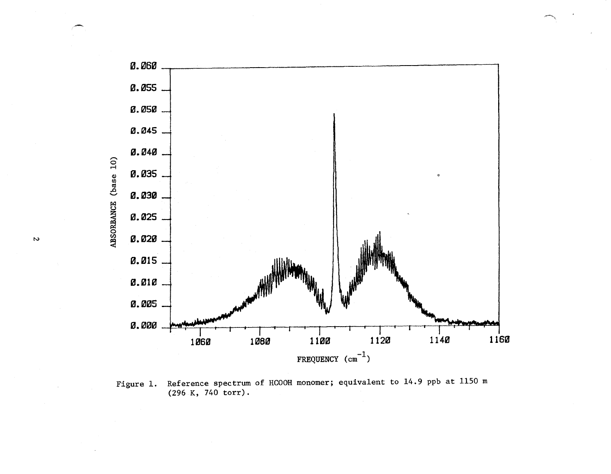

 $\rightarrow$ 

Figure 1. Reference spectrum of HC00H monomer; equivalent to 14.9 ppb at 1150 m (296 K, 740 torr).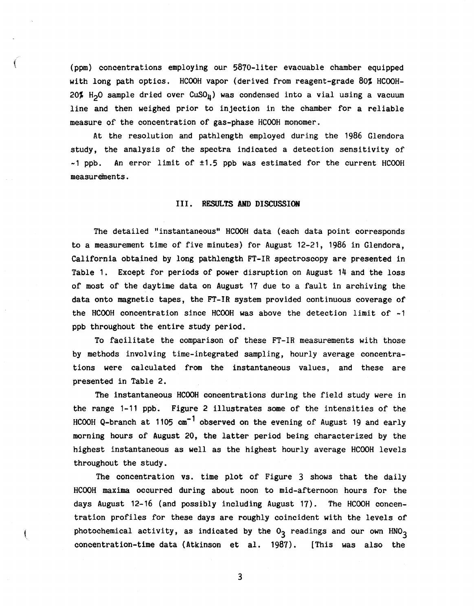(ppm) concentrations employing our 5870-liter evacuable chamber equipped with long path optics. HCOOH vapor (derived from reagent-grade 80% HCOOH-20% H<sub>2</sub>O sample dried over CuSO<sub>11</sub>) was condensed into a vial using a vacuum line and then weighed prior to injection in the chamber for a reliable measure of the concentration of gas-phase HCOOH monomer.

At the resolution and pathlength employed during the 1986 Glendora study, the analysis of the spectra indicated a detection sensitivity of  $-1$  ppb. An error limit of  $\pm 1.5$  ppb was estimated for the current HCOOH measurements.

### III. **RESULTS AND DISCUSSION**

The detailed "instantaneous" HCOOH data ( each data point corresponds to a measurement time of five minutes) for August 12-21, 1986 in Glendora, California obtained by long pathlength FT-IR spectroscopy are presented in Table 1. Except for periods of power disruption on August 14 and the loss of most of the daytime data on August 17 due to a fault in archiving the data onto magnetic tapes, the FT-IR system provided continuous coverage of the HCOOH concentration since HCOOH was above the detection limit of  $-1$ ppb throughout the entire study period.

To facilitate the comparison of these FT-IR measurements with those by methods involving time-integrated sampling, hourly average concentrations were calculated from the instantaneous values, and these are presented in Table 2.

The instantaneous HCOOH concentrations during the field study were in the range 1-11 ppb. Figure 2 illustrates some of the intensities of the HCOOH Q-branch at 1105  $cm^{-1}$  observed on the evening of August 19 and early morning hours of August *20,* the latter period being characterized by the highest instantaneous as well as the highest hourly average HCOOH levels throughout the study.

The concentration vs. time plot of Figure 3 shows that the daily HCOOH maxima occurred during about noon to mid-afternoon hours for the days August 12-16 (and possibly including August 17). The HCOOH concentration profiles for these days are roughly coincident with the levels of photochemical activity, as indicated by the  $0<sub>3</sub>$  readings and our own HNO<sub>3</sub> concentration-time data (Atkinson et al. 1987). [This was also the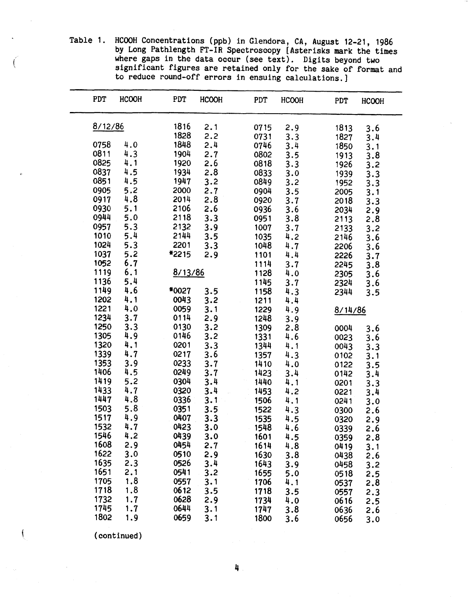Table 1. HCOOH Concentrations (ppb) in Glendora, CA, August 12-21, 1986 by Long Pathlength FT-IR Spectroscopy [Asterisks mark the times where gaps in the data occur (see text). Digits beyond two significant figures are retained only for the sake of format and to reduce round-off errors in ensuing calculations.]

| PDT     | <b>HCOOH</b> | PDT     | <b>HCOOH</b> | PDT  | <b>HCOOH</b> | PDT     | <b>HCOOH</b>   |
|---------|--------------|---------|--------------|------|--------------|---------|----------------|
| 8/12/86 |              | 1816    | 2.1          | 0715 | 2.9          | 1813    | 3.6            |
|         |              | 1828    | 2.2          | 0731 | 3.3          | 1827    | 3.4            |
| 0758    | 4.0          | 1848    | 2.4          | 0746 | 3.4          | 1850    | 3.1            |
| 0811    | 4.3          | 1904    | 2.7          | 0802 | 3.5          | 1913    | 3.8            |
| 0825    | 4.1          | 1920    | 2.6          | 0818 | 3.3          | 1926    |                |
| 0837    | 4.5          | 1934    | 2.8          | 0833 | 3.0          | 1939    | $3.2$<br>$3.3$ |
| 0851    | 4.5          | 1947    | 3.2          | 0849 | 3.2          | 1952    | 3.3            |
| 0905    | 5.2          | 2000    | 2.7          | 0904 | 3.5          | 2005    |                |
| 0917    | 4.8          | 2014    | 2.8          | 0920 | 3.7          |         | 3.1            |
| 0930    | 5.1          | 2106    | 2.6          |      | 3.6          | 2018    | 3.3            |
| 0944    | 5.0          | 2118    | 3.3          | 0936 |              | 2034    | 2.9            |
|         |              |         |              | 0951 | 3.8          | 2113    | 2.8            |
| 0957    | 5.3          | 2132    | 3.9          | 1007 | 3.7          | 2133    | 3.2            |
| 1010    | 5.4          | 2144    | 3.5          | 1035 | 4.2          | 2146    | 3.6            |
| 1024    | 5.3          | 2201    | 3.3          | 1048 | 4.7          | 2206    | 3.6            |
| 1037    | 5.2          | *2215   | 2.9          | 1101 | 4.4          | 2226    | 3.7            |
| 1052    | 6.7          |         |              | 1114 | 3.7          | 2245    | 3.8            |
| 1119    | 6.1          | 8/13/86 |              | 1128 | 4.0          | 2305    | 3.6            |
| 1136    | 5.4          |         |              | 1145 | 3.7          | 2324    | 3.6            |
| 1149    | 4.6          | *0027   | 3.5          | 1158 | 4.3          | 2344    | 3.5            |
| 1202    | 4.1          | 0043    | 3.2          | 1211 | 4.4          |         |                |
| 1221    | 4.0          | 0059    | 3.1          | 1229 | 4.9          | 8/14/86 |                |
| 1234    | 3.7          | 0114    | 2.9          | 1248 | 3.9          |         |                |
| 1250    | 3.3          | 0130    | 3.2          | 1309 | 2.8          | 0004    | 3.6            |
| 1305    | 4.9          | 0146    | 3.2          | 1331 | 4.6          | 0023    | 3.6            |
| 1320    | 4.1          | 0201    | 3.3          | 1344 | 4.1          | 0043    | 3.3            |
| 1339    | 4.7          | 0217    | 3.6          | 1357 | 4.3          | 0102    | 3.1            |
| 1353    | 3.9          | 0233    | 3.7          | 1410 | 4.0          | 0122    | 3.5            |
| 1406    | 4.5          | 0249    | 3.7          | 1423 | 3.4          | 0142    | 3.4            |
| 1419    | 5.2          | 0304    | 3.4          | 1440 | 4.1          |         |                |
| 1433    | 4.7          | 0320    | 3.4          | 1453 |              | 0201    | 3.3            |
| 1447    | 4.8          | 0336    | 3.1          |      | 4.2          | 0221    | 3.4            |
| 1503    | 5.8          | 0351    | 3.5          | 1506 | 4.1          | 0241    | 3.0            |
| 1517    | 4.9          | 0407    |              | 1522 | 4.3          | 0300    | 2.6            |
| 1532    | 4.7          |         | 3.3          | 1535 | 4.5          | 0320    | 2.9            |
|         |              | 0423    | 3.0          | 1548 | 4.6          | 0339    | 2.6            |
| 1546    | 4.2          | 0439    | 3.0          | 1601 | 4.5          | 0359    | 2.8            |
| 1608    | 2.9          | 0454    | 2.7          | 1614 | 4.8          | 0419    | 3.1            |
| 1622    | 3.0          | 0510    | 2.9          | 1630 | 3.8          | 0438    | 2.6            |
| 1635    | 2.3          | 0526    | 3.4          | 1643 | 3.9          | 0458    | 3.2            |
| 1651    | 2.1          | 0541    | 3.2          | 1655 | 5.0          | 0518    | 2.5            |
| 1705    | 1.8          | 0557    | 3.1          | 1706 | 4.1          | 0537    | 2.8            |
| 1718    | 1.8          | 0612    | 3.5          | 1718 | 3.5          | 0557    | 2.3            |
| 1732    | 1.7          | 0628    | 2.9          | 1734 | 4.0          | 0616    | 2.5            |
| 1745    | 1.7          | 0644    | 3.1          | 1747 | 3.8          | 0636    | 2.6            |
| 1802    | 1.9          | 0659    | 3.1          | 1800 | 3.6          | 0656    | 3.0            |
|         |              |         |              |      |              |         |                |

(continued)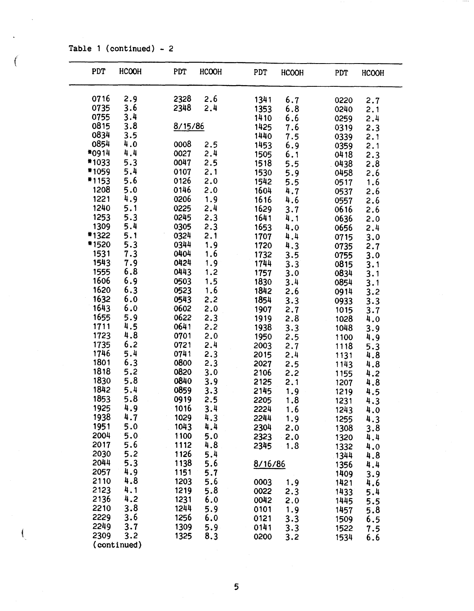Table 1 (continued) - 2

(

 $\int_{\mathbb{R}}$ 

| <b>PDT</b>   | <b>HCOOH</b> | PDT          | <b>HCOOH</b> | PDT     | <b>HCOOH</b> | PDT  | <b>HCOOH</b> |
|--------------|--------------|--------------|--------------|---------|--------------|------|--------------|
| 0716         | 2.9          | 2328         | 2.6          | 1341    | 6.7          | 0220 | 2.7          |
| 0735         | 3.6          | 2348         | 2.4          | 1353    | 6.8          | 0240 | 2.1          |
| 0755         | 3.4          |              |              | 1410    | 6.6          | 0259 | 2.4          |
| 0815         | 3.8          | 8/15/86      |              | 1425    | 7.6          | 0319 | 2.3          |
| 0834         | 3.5          |              |              | 1440    | 7.5          | 0339 | 2.1          |
| 0854         | 4.0          | 0008         | 2.5          | 1453    | 6.9          | 0359 | 2.1          |
| *0914        | 4.4          | 0027         | 2.4          | 1505    | 6.1          | 0418 | 2.3          |
| *1033        | 5.3          | 0047         | 2.5          | 1518    | 5.5          | 0438 | 2.8          |
| *1059        | 5.4          | 0107         | 2.1          | 1530    | 5.9          | 0458 | 2.6          |
| #1153        | 5.6          | 0126         | 2.0          | 1542    | 5.5          | 0517 | 1.6          |
| 1208         | 5.0          | 0146         | 2.0          | 1604    | 4.7          | 0537 | 2.6          |
| 1221         | 4.9          | 0206         | 1.9          | 1616    | 4.6          | 0557 | 2.6          |
| 1240         | 5.1          | 0225         | 2.4          | 1629    | 3.7          | 0616 | 2.6          |
| 1253         | 5.3          | 0245         | 2.3          | 1641    | 4.1          | 0636 | 2.0          |
| 1309         | 5.4          | 0305         | 2.3          | 1653    | 4.0          | 0656 | 2.4          |
| *1322        | 5.1          | 0324         | 2.1          | 1707    | 4.4          | 0715 | 3.0          |
| *1520        | 5.3          | 0344         | 1.9          | 1720    | 4.3          | 0735 | 2.7          |
| 1531         | 7.3          | 0404         | 1.6          | 1732    | 3.5          | 0755 | 3.0          |
| 1543         | 7.9          | 0424         | 1.9          | 1744    | 3.3          | 0815 | 3.1          |
| 1555         | $6.8$        | 0443         | 1.2          | 1757    | 3.0          | 0834 | 3.1          |
| 1606         | 6.9          | 0503         | 1.5          | 1830    | 3.4          | 0854 | 3.1          |
| 1620         | 6.3          | 0523         | 1.6          | 1842    | 2.6          | 0914 | 3.2          |
| 1632         | 6.0          | 0543         | 2.2          | 1854    | 3.3          | 0933 | 3.3          |
| 1643         | 6.0          | 0602         | 2.0          | 1907    | 2.7          | 1015 | 3.7          |
| 1655         | 5.9          | 0622         | 2.3          | 1919    | 2.8          | 1028 | 4.0          |
| 1711         | 4.5          | 0641         | 2.2          | 1938    | 3.3          | 1048 | 3.9          |
| 1723         | 4.8          | 0701         | 2.0          | 1950    | 2.5          | 1100 | 4.9          |
| 1735         | 6.2          | 0721         | 2.4          | 2003    | 2.7          | 1118 | 5.3          |
| 1746         | 5.4          | 0741         | 2.3          | 2015    | 2.4          | 1131 | 4.8          |
| 1801         | 6.3          | 0800         | 2.3          | 2027    | 2.5          | 1143 | 4.8          |
| 1818         | 5.2          | 0820         | 3.0          | 2106    | 2.2          | 1155 | 4.2          |
| 1830         | 5.8          | 0840         | 3.9          | 2125    | 2.1          | 1207 | 4.8          |
| 1842         | 5.4          | 0859         | 3.3          | 2145    | 1.9          | 1219 | 4.5          |
| 1853         | 5.8          | 0919         | 2.5          | 2205    | 1.8          | 1231 | 4.3          |
| 1925         | 4.9          | 1016         | 3.4          | 2224    | 1.6          | 1243 | 4.0          |
| 1938         | 4.7          | 1029         | 4.3          | 2244    | 1.9          | 1255 | 4.3          |
| 1951         | 5.0          | 1043         | 4.4          | 2304    | 2.0          | 1308 | 3.8          |
| 2004         | 5.0          | 1100         | 5.0          | 2323    | 2.0          | 1320 | 4.4          |
| 2017         | 5.6          | 1112         | 4.8          | 2345    | 1.8          | 1332 | 4.0          |
| 2030         | 5.2          | 1126         | 5.4          |         |              | 1344 | 4.8          |
| 2044         | 5.3          | 1138         | 5.6          | 8/16/86 |              | 1356 | 4.4          |
| 2057         | 4.9          | 1151         | 5.7          |         |              | 1409 | 3.9          |
| 2110         | 4.8          | 1203         | 5.6          | 0003    | 1.9          | 1421 | 4.6          |
| 2123         | 4.1<br>4.2   | 1219         | 5.8          | 0022    | 2.3          | 1433 | 5.4          |
| 2136         |              | 1231         | 6.0          | 0042    | 2.0          | 1445 | 5.5          |
| 2210<br>2229 | 3.8          | 1244         | 5.9          | 0101    | 1.9          | 1457 | 5.8          |
| 2249         | 3.6<br>3.7   | 1256         | 6.0          | 0121    | 3.3          | 1509 | 6.5          |
| 2309         | 3.2          | 1309<br>1325 | 5.9          | 0141    | 3.3          | 1522 | 7.5          |
|              | (continued)  |              | 8.3          | 0200    | 3.2          | 1534 | 6.6          |
|              |              |              |              |         |              |      |              |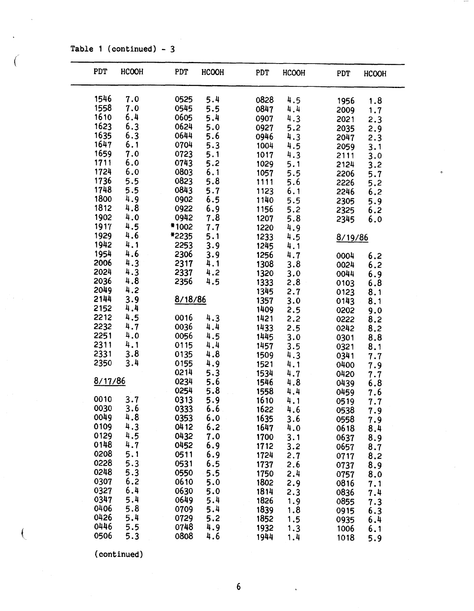Table 1 (continued) - 3

(

| PDT     | HCOOH | <b>PDT</b> | <b>HCOOH</b>   | <b>PDT</b> | HCOOH | <b>PDT</b> | <b>HCOOH</b> |
|---------|-------|------------|----------------|------------|-------|------------|--------------|
| 1546    | 7.0   | 0525       | 5.4            | 0828       | 4.5   | 1956       | 1.8          |
| 1558    | 7.0   | 0545       | 5.5            | 0847       | 4.4   | 2009       | 1.7          |
| 1610    | 6.4   | 0605       | 5.4            | 0907       | 4.3   | 2021       | 2.3          |
| 1623    | 6.3   | 0624       | 5.0            | 0927       | 5.2   | 2035       | 2.9          |
| 1635    | 6.3   | 0644       | 5.6            | 0946       | 4.3   | 2047       | 2.3          |
| 1647    | 6.1   | 0704       | 5.3            | 1004       | 4.5   | 2059       | 3.1          |
| 1659    | 7.0   | 0723       | 5.1            | 1017       | 4.3   | 2111       | 3.0          |
| 1711    | 6.0   | 0743       | 5.2            | 1029       | 5.1   | 2124       | 3.2          |
| 1724    | 6.0   | 0803       | 6.1            | 1057       | 5.5   | 2206       | 5.7          |
| 1736    | 5.5   | 0823       | 5.8            | 1111       | 5.6   | 2226       | 5.2          |
| 1748    | 5.5   | 0843       | 5.7            | 1123       | 6.1   | 2246       | 6.2          |
| 1800    | 4.9   | 0902       | 6.5            | 1140       | 5.5   | 2305       | 5.9          |
| 1812    | 4.8   | 0922       |                | 1156       | 5.2   | 2325       | 6.2          |
| 1902    | 4.0   | 0942       | $6.9$<br>$7.8$ | 1207       | 5.8   | 2345       | 6.0          |
| 1917    | 4.5   | *1002      | 7.7            | 1220       | 4.9   |            |              |
| 1929    | 4.6   | *2235      | 5.1            | 1233       | 4.5   | 8/19/86    |              |
| 1942    | 4.1   | 2253       | 3.9            | 1245       | 4.1   |            |              |
| 1954    | 4.6   | 2306       | 3.9            | 1256       | 4.7   | 0004       | 6.2          |
| 2006    | 4.3   | 2317       | 4.1            | 1308       | 3.8   | 0024       | 6.2          |
| 2024    | 4.3   | 2337       | 4.2            | 1320       | 3.0   | 0044       | 6.9          |
| 2036    | 4.8   | 2356       | 4.5            | 1333       | 2.8   | 0103       | 6.8          |
| 2049    | 4.2   |            |                | 1345       | 2.7   | 0123       | 8.1          |
| 2144    | 3.9   | 8/18/86    |                | 1357       | 3.0   | 0143       | 8.1          |
| 2152    | 4.4   |            |                | 1409       | 2.5   | 0202       | 9.0          |
| 2212    | 4.5   | 0016       | 4.3            | 1421       | 2.2   | 0222       | 8.2          |
| 2232    | 4.7   | 0036       | 4.4            | 1433       | 2.5   | 0242       | 8.2          |
| 2251    | 4.0   | 0056       | 4.5            | 1445       | 3.0   | 0301       | 8.8          |
| 2311    | 4.1   | 0115       | 4.4            | 1457       | 3.5   | 0321       | 8.1          |
| 2331    | 3.8   | 0135       | 4.8            | 1509       | 4.3   | 0341       | 7.7          |
| 2350    | 3.4   | 0155       | 4.9            | 1521       | 4.1   | 0400       | 7.9          |
|         |       | 0214       | 5.3            | 1534       | 4.7   | 0420       | 7.7          |
| 8/17/86 |       | 0234       | 5.6            | 1546       | 4.8   | 0439       | 6.8          |
|         |       | 0254       | 5.8            | 1558       | 4.4   | 0459       | 7.6          |
| 0010    | 3.7   | 0313       | 5.9            | 1610       | 4.1   | 0519       | 7.7          |
| 0030    | 3.6   | 0333       | 6.6            | 1622       | 4.6   | 0538       | 7.9          |
| 0049    | 4.8   | 0353       | 6.0            | 1635       | 3.6   | 0558       | 7.9          |
| 0109    | 4.3   | 0412       | 6.2            | 1647       | 4.0   | 0618       | 8.4          |
| 0129    | 4.5   | 0432       | 7.0            | 1700       | 3.1   | 0637       | 8.9          |
| 0148    | 4.7   | 0452       | 6.9            | 1712       | 3.2   | 0657       | 8.7          |
| 0208    | 5.1   | 0511       | 6.9            | 1724       | 2.7   | 0717       | 8.2          |
| 0228    | 5.3   | 0531       | 6.5            | 1737       | 2.6   | 0737       | 8.9          |
| 0248    | 5.3   | 0550       | 5.5            | 1750       | 2.4   | 0757       | 8.0          |
| 0307    | 6.2   | 0610       | 5.0            | 1802       | 2.9   | 0816       | 7.1          |
| 0327    | 6.4   | 0630       | 5.0            | 1814       | 2.3   | 0836       | 7.4          |
| 0347    | 5.4   | 0649       | 5.4            | 1826       | 1.9   | 0855       | 7.3          |
| 0406    | 5.8   | 0709       | 5.4            | 1839       | 1.8   | 0915       | 6.3          |
| 0426    | 5.4   | 0729       | 5.2            | 1852       | 1.5   | 0935       | 6.4          |
| 0446    | 5.5   | 0748       | 4.9            | 1932       | 1.3   | 1006       | 6.1          |
| 0506    | 5.3   | 0808       | 4.6            | 1944       | 1.4   | 1018       | 5.9          |

(continued)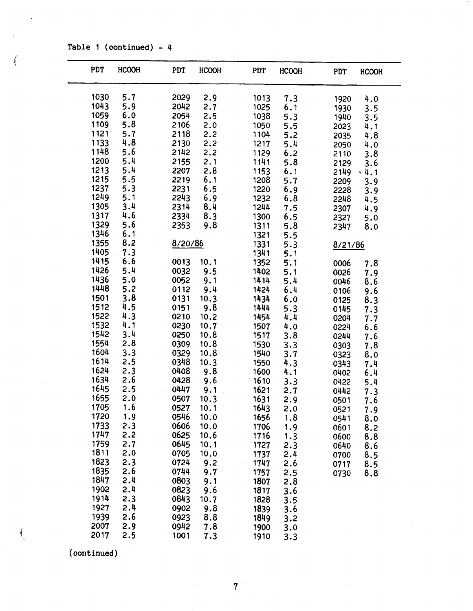Table 1 (continued) -  $4$ 

 $\left($ 

| PDT  | <b>HCOOH</b> | PDT     | <b>HCOOH</b> | PDT  | <b>HCOOH</b> | PDT<br><b>HCOOH</b> |
|------|--------------|---------|--------------|------|--------------|---------------------|
| 1030 | 5.7          | 2029    | 2.9          | 1013 | 7.3          | 1920<br>4.0         |
| 1043 | 5.9          | 2042    | 2.7          | 1025 | 6.1          | 1930<br>3.5         |
| 1059 | 6.0          | 2054    | 2.5          | 1038 | 5.3          | 1940<br>3.5         |
| 1109 | 5.8          | 2106    | 2.0          | 1050 | 5.5          | 4.1<br>2023         |
| 1121 | 5.7          | 2118    | 2,2          | 1104 | 5.2          | 2035<br>4.8         |
| 1133 | 4.8          | 2130    | 2,2          | 1217 | 5.4          | 4.0<br>2050         |
| 1148 | 5.6          | 2142    | 2.2          | 1129 | 6.2          | 3.8<br>2110         |
| 1200 | 5.4          | 2155    | 2.1          | 1141 | 5.8          | 2129<br>3.6         |
| 1213 | 5.4          | 2207    | 2.8          | 1153 | 6.1          | $-4.1$<br>2149      |
| 1215 | 5.5          | 2219    | 6.1          | 1208 | 5.7          | 2209<br>3.9         |
| 1237 | 5.3          | 2231    | 6.5          | 1220 | 6.9          | 3.9<br>2228         |
| 1249 | 5.1          | 2243    | 6.9          | 1232 | 6.8          | 2248<br>4.5         |
| 1305 | 3.4          | 2314    | 8.4          | 1244 | 7.5          | 2307<br>4.9         |
| 1317 | 4.6          | 2334    | 8.3          | 1300 | 6.5          | 2327<br>5.0         |
| 1329 | 5.6          | 2353    | 9.8          | 1311 | 5.8          | 2347<br>8.0         |
| 1346 | 6.1          |         |              | 1321 | 5.5          |                     |
| 1355 | 8.2          | 8/20/86 |              | 1331 | 5.3          | 8/21/86             |
| 1405 | 7.3          |         |              | 1341 | 5.1          |                     |
| 1415 | 6.6          | 0013    | 10.1         | 1352 | 5.1          | 0006<br>7.8         |
| 1426 | 5.4          | 0032    | 9.5          | 1402 | 5.1          | 0026<br>7.9         |
| 1436 | 5.0          | 0052    | 9.1          | 1414 | 5.4          | 0046<br>8.6         |
| 1448 | 5.2          | 0112    | 9.4          | 1424 | 6.4          | 0106<br>9.6         |
| 1501 | 3.8          | 0131    | 10.3         | 1434 | 6.0          | 8.3<br>0125         |
| 1512 | 4.5          | 0151    | 9.8          | 1444 | 5.3          | 0145<br>7.3         |
| 1522 | 4.3          | 0210    | 10.2         | 1454 | 4.4          | 0204<br>7.7         |
| 1532 | 4.1          | 0230    | 10.7         | 1507 | 4.0          | 0224<br>6.6         |
| 1542 | 3.4          | 0250    | 10.8         | 1517 | 3.8          | 0244<br>7.6         |
| 1554 | 2.8          | 0309    | 10.8         | 1530 | 3.3          | 7.8<br>0303         |
| 1604 | 3.3          | 0329    | 10.8         | 1540 | 3.7          | 8.0<br>0323         |
| 1614 | 2.5          | 0348    | 10.3         | 1550 | 4.3          | 0343<br>7.4         |
| 1624 | 2.3          | 0408    | 9.8          | 1600 | 4.1          | 0402<br>6.4         |
| 1634 | 2.6          | 0428    | 9.6          | 1610 | 3.3          | 0422<br>5.4         |
| 1645 | 2.5          | 0447    | 9.1          | 1621 | 2.7          | 0442<br>7.3         |
| 1655 | 2.0          | 0507    | 10.3         | 1631 | 2.9          | 0501<br>7.6         |
| 1705 | 1.6          | 0527    | 10.1         | 1643 | 2.0          | 7.9<br>0521         |
| 1720 | 1.9          | 0546    | 10.0         | 1656 | 1.8          | 0541<br>8.0         |
| 1733 | 2.3          | 0606    | 10.0         | 1706 | 1.9          | 0601<br>8.2         |
| 1747 | 2.2          | 0625    | 10.6         | 1716 | 1.3          | 0600<br>8.8         |
| 1759 | 2.7          | 0645    | 10.1         | 1727 | 2.3          | 0640<br>8.6         |
| 1811 | 2.0          | 0705    | 10.0         | 1737 | 2.4          | 0700<br>8.5         |
| 1823 | 2.3          | 0724    | 9.2          | 1747 | 2.6          | 8.5<br>0717         |
| 1835 | 2.6          | 0744    | 9.7          | 1757 | 2.5          | 0730<br>8.8         |
| 1847 | 2.4          | 0803    | 9.1          | 1807 | 2.8          |                     |
| 1902 | 2.4          | 0823    | 9.6          | 1817 | 3.6          |                     |
| 1914 | 2.3          | 0843    | 10.7         | 1828 | 3.5          |                     |
| 1927 | 2.4          | 0902    | 9.8          | 1839 | 3.6          |                     |
| 1939 | 2.6          | 0923    | 8.8          | 1849 | 3.2          |                     |
| 2007 | 2.9          | 0942    | 7.8          | 1900 | 3.0          |                     |
| 2017 | 2.5          | 1001    | 7.3          | 1910 | 3.3          |                     |

(continued}

*I*  t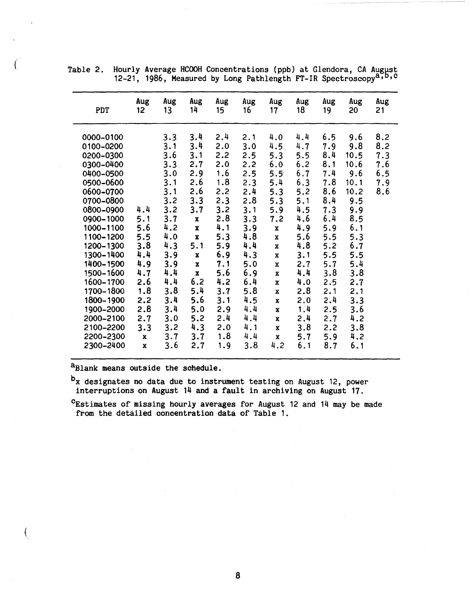| Aug<br>Aug<br>Aug<br>Aug<br>Aug<br>Aug<br>Aug<br>Aug<br>Aug<br>Aug<br>14<br>18<br>12<br>13<br><b>PDT</b><br>15<br>16<br>17<br>19<br>20<br>21<br>8.2<br>3.4<br>2.4<br>4.4<br>6.5<br>9.6<br>0000-0100<br>3.3<br>2.1<br>4.0<br>9.8<br>8.2<br>3.4<br>4.7<br>0100-0200<br>3.1<br>3.0<br>4.5<br>7.9<br>2.0<br>3.6<br>8.4<br>5.5<br>10.5<br>0200-0300<br>3.1<br>2.2<br>7.3<br>2.5<br>5.3<br>8.1<br>3.3<br>6.2<br>7.6<br>0300-0400<br>2.7<br>10.6<br>2.0<br>2,2<br>6.0<br>6.7<br>7.4<br>6.5<br>2.9<br>1.6<br>9.6<br>0400-0500<br>3.0<br>2.5<br>$5.5^{\circ}$<br>7.8<br>3.1<br>2.6<br>1.8<br>6.3<br>2.3<br>5.4<br>10.1<br>7.9<br>0500-0600<br>2.6<br>2.4<br>8.6<br>2.2<br>5.3<br>5.2<br>10.2<br>8.6<br>0600-0700<br>3.1<br>3.2<br>2.8<br>8.4<br>5.3<br>9.5<br>3.3<br>2.3<br>5.1<br>0700-0800<br>4.4<br>9.9<br>3.2<br>3.2<br>3.1<br>4.5<br>7.3<br>0800-0900<br>3.7<br>5.9<br>2.8<br>3.7<br>6.4<br>8.5<br>3.3<br>4.6<br>0900-1000<br>5.1<br>7.2<br>$\mathbf x$<br>4.1<br>6.1<br>5.6<br>4.2<br>3.9<br>5.9<br>4.9<br>1000-1100<br>$\mathbf{x}$<br>$\mathbf x$<br>4.8<br>4.0<br>5.5<br>5.3<br>5.5<br>5.3<br>5.6<br>1100-1200<br>$\mathbf{x}$<br>x<br>3.8<br>4.3<br>6.7<br>5.9<br>4.4<br>4.8<br>5.2<br>5.1<br>1200-1300<br>$\mathbf{x}$<br>4.4<br>6.9<br>5.5<br>5.5<br>1300-1400<br>3.9<br>4.3<br>3.1<br>$\pmb{\mathsf{x}}$<br>X<br>4.9<br>3.9<br>2.7<br>5.7<br>5.4<br>1400-1500<br>7.1<br>5.0<br>$\pmb{\mathsf{X}}$<br>X<br>3.8<br>4.4<br>5.6<br>6.9<br>3.8<br>1500-1600<br>4.7<br>4.4<br>$\mathbf{x}$<br>$\mathbf x$<br>6.2<br>4.4<br>4.2<br>6.4<br>2.5<br>2.7<br>2.6<br>1600-1700<br>4.0<br>$\mathbf x$<br>3.8<br>5.4<br>1.8<br>1700-1800<br>3.7<br>5.8<br>2.8<br>2.1<br>2.1<br>$\mathbf x$<br>2,2<br>3.4<br>5.6<br>3.1<br>4.5<br>2.4<br>3.3<br>2.0<br>1800-1900<br>$\mathbf{x}$<br>2.8<br>3.4<br>4.4<br>1900-2000<br>5.0<br>2.9<br>1.4<br>2.5<br>3.6<br>$\mathbf{x}$<br>4.4<br>2000-2100<br>5.2<br>2.4<br>2.4<br>4.2<br>2.7<br>3.0<br>2.7<br>$\mathbf x$<br>4.3<br>3.2<br>4.1<br>3.8<br>3.8<br>2100-2200<br>3.3<br>2.0<br>2.2<br>$\mathbf x$ |           |             |     |     |     |     |             |     |     |     |  |
|-----------------------------------------------------------------------------------------------------------------------------------------------------------------------------------------------------------------------------------------------------------------------------------------------------------------------------------------------------------------------------------------------------------------------------------------------------------------------------------------------------------------------------------------------------------------------------------------------------------------------------------------------------------------------------------------------------------------------------------------------------------------------------------------------------------------------------------------------------------------------------------------------------------------------------------------------------------------------------------------------------------------------------------------------------------------------------------------------------------------------------------------------------------------------------------------------------------------------------------------------------------------------------------------------------------------------------------------------------------------------------------------------------------------------------------------------------------------------------------------------------------------------------------------------------------------------------------------------------------------------------------------------------------------------------------------------------------------------------------------------------------------------------------------------------------------------------------------------------------------------------------------------------------------------------------------------------------------------------------------------------------------------------------|-----------|-------------|-----|-----|-----|-----|-------------|-----|-----|-----|--|
|                                                                                                                                                                                                                                                                                                                                                                                                                                                                                                                                                                                                                                                                                                                                                                                                                                                                                                                                                                                                                                                                                                                                                                                                                                                                                                                                                                                                                                                                                                                                                                                                                                                                                                                                                                                                                                                                                                                                                                                                                                   |           |             |     |     |     |     |             |     |     |     |  |
| 3.6<br>1.9<br>3.8<br>2300-2400<br>2.7<br>4.2<br>6.1<br>8.7<br>6.1<br>$\bar{\mathbf{x}}$                                                                                                                                                                                                                                                                                                                                                                                                                                                                                                                                                                                                                                                                                                                                                                                                                                                                                                                                                                                                                                                                                                                                                                                                                                                                                                                                                                                                                                                                                                                                                                                                                                                                                                                                                                                                                                                                                                                                           | 2200-2300 | $\mathbf x$ | 3.7 | 3.7 | 1.8 | 4.4 | $\mathbf x$ | 5.7 | 5.9 | 4.2 |  |

 $($  Table 2. Hourly Average HCOOH Concentrations (ppb) at Glendora, CA August 12-21, 1986, Measured by Long Pathlength FT-IR Spectroscopy<sup>a,b,c</sup>

a<sub>Blank</sub> means outside the schedule.

<sup>b</sup>x designates no data due to instrument testing on August 12, power interruptions on August 14 and a fault in archiving on August 17.

<sup>C</sup>Estimates of missing hourly averages for August 12 and 14 may be made from the detailed concentration data of Table 1.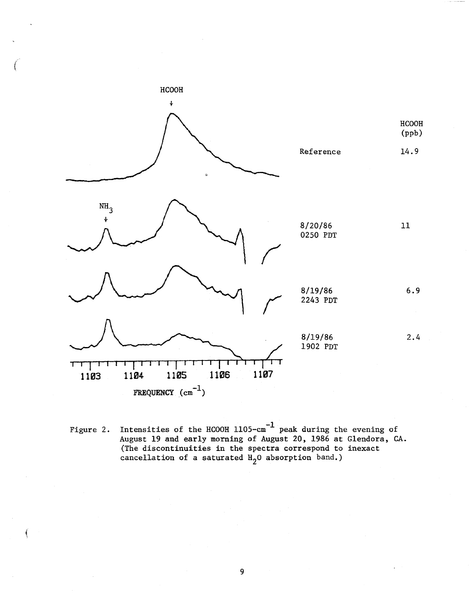

Figure 2. Intensities of the HCOOH  $1105$ -cm<sup>-1</sup> peak during the evening of August 19 and early morning of August 20, 1986 at Glendora, CA. (The discontinuities in the spectra correspond to inexact cancellation of a saturated  $H_2$ O absorption band.)

Í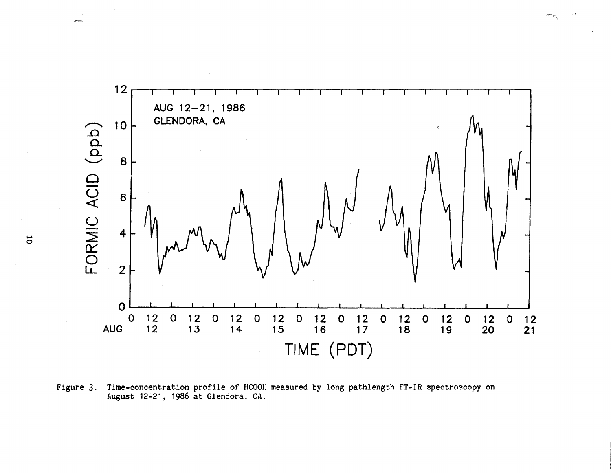

Figure 3. Time-concentration profile of HCOOH measured by long pathlength FT-IR spectroscopy on August 12-21, 1986 at Glendora, CA.

,"-.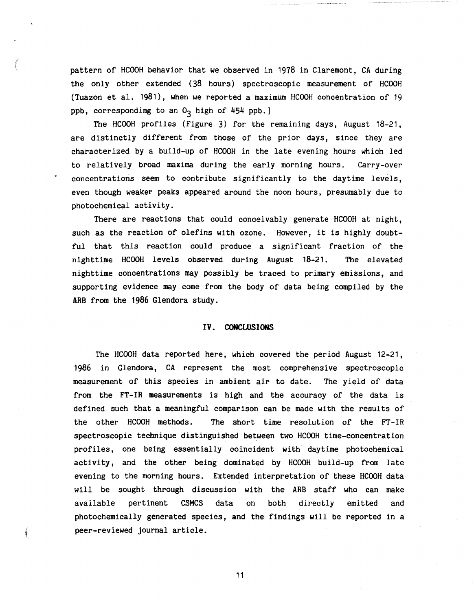pattern of HCOOH behavior that we observed in 1978 in Claremont, CA during the only other extended (38 hours) spectroscopic measurement of HCOOH (Tuazon et al. 1981), when we reported a maximum HCOOH concentration of 19 ppb, corresponding to an  $O_3$  high of 454 ppb.]

The HCOOH profiles (Figure 3) for the remaining days, August 18-21, are distinctly different from those of the prior days, since they are characterized by a build-up of HCOOH in the late evening hours which led to relatively broad **maxima** during the early morning hours. Carry-over concentrations seem to contribute significantly to the daytime levels, even though weaker peaks appeared around the noon hours, presumably due to photochemical activity.

There are reactions that could conceivably generate HCOOH at night, such as the reaction of olefins with ozone. However, it is highly doubtful that this reaction could produce a significant fraction of the nighttime HCOOH levels observed during August 18-21. The elevated nighttime concentrations may possibly be traced to primary emissions, and supporting evidence may come from the body of data being compiled by the ARB from the 1986 Glendora study.

### **IV. CONCLUSIONS**

The HCOOH data reported here, which covered the period August 12-21, 1986 in Glendora, CA represent the most comprehensive spectroscopic measurement of this species in ambient air to date. The yield of data from the FT-IR measurements is high and the accuracy of the data is defined such that a meaningful comparison can be made with the results of the other HCOOH methods. The short time resolution of the FT-IR spectroscopic technique distinguished between two HCOOH time-concentration profiles, one being essentially coincident with daytime photochemical activity, and the other being dominated by HCOOH build-up from late evening to the morning hours. Extended interpretation of these HCOOH data will be sought through discussion with the ARB staff who can make available pertinent CSMCS data on both directly emitted and photochemically generated species, and the findings will be reported in a peer-reviewed journal article.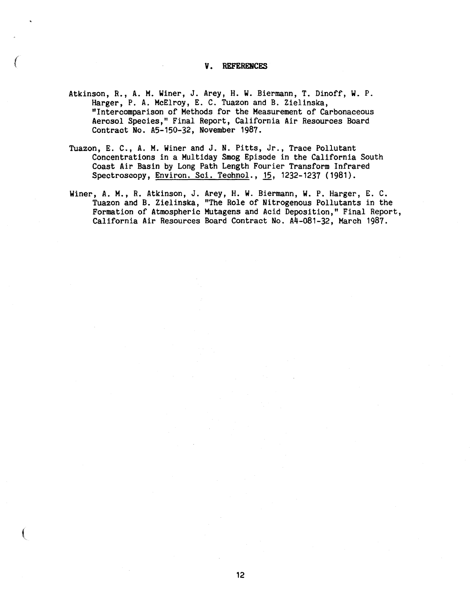# *V.* **REFERENCES**

- Atkinson, R., A. M. Winer, J. Arey, H. W. Biermann, T. Dinoff, **W.** P. Harger, P.A. McElroy, E. C. Tuazon and B. Zielinska, "Intercomparison of Methods for the Measurement of Carbonaceous Aerosol Species," Final Report, California Air Resources Board Contract No. A5-150-32, November 1987.
- Tuazon, E. C., A. M. Winer and J. **N.** Pitts, Jr., Trace Pollutant Concentrations in a Multiday Smog Episode in the California South Coast Air Basin by Long Path Length Fourier Transform Infrared Spectroscopy, Environ. Sci. Technol., 15, 1232-1237 (1981).
- Winer, A. **M.,** R. Atkinson, J. Arey, H. W. Biermann, **W.** P. Harger, E. C. Tuazon and B. Zielinska, "The Role of Nitrogenous Pollutants in the Formation of Atmospheric Mutagens and Acid Deposition," Final Report, California Air Resources Board Contract No. A4-081-32, March 1987.

 $\left($